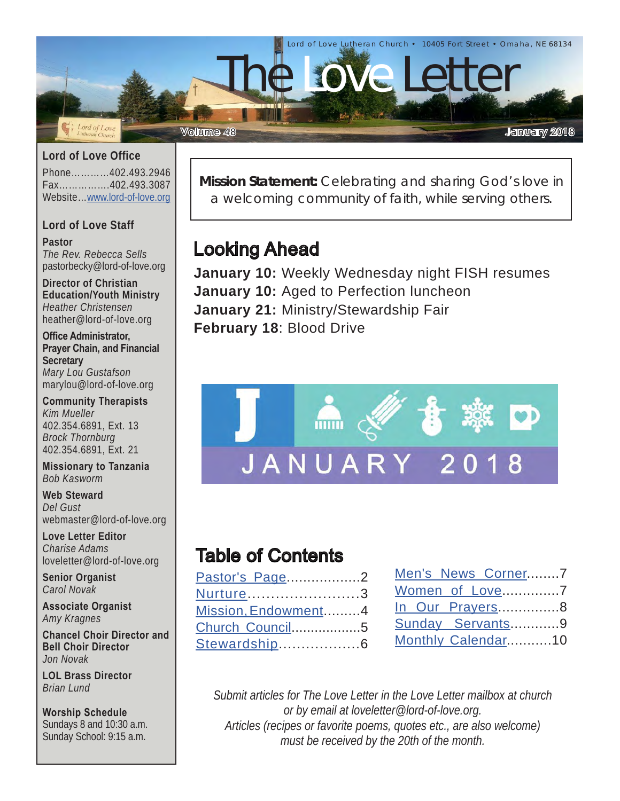

#### **Lord of Love Office**

Phone…………402.493.2946 Fax…………….402.493.3087 Website…[www.lord-of-love.org](http://www.lord-of-love.org)

#### **Lord of Love Staff**

**Pastor** *The Rev. Rebecca Sells* pastorbecky@lord-of-love.org

**Director of Christian Education/Youth Ministry** *Heather Christensen* heather@lord-of-love.org

**Office Administrator, Prayer Chain, and Financial Secretary** *Mary Lou Gustafson* marylou@lord-of-love.org

**Community Therapists** *Kim Mueller* 402.354.6891, Ext. 13 *Brock Thornburg* 402.354.6891, Ext. 21

**Missionary to Tanzania** *Bob Kasworm*

**Web Steward** *Del Gust* webmaster@lord-of-love.org

**Love Letter Editor** *Charise Adams* loveletter@lord-of-love.org

**Senior Organist** *Carol Novak*

**Associate Organist** *Amy Kragnes*

**Chancel Choir Director and Bell Choir Director** *Jon Novak*

**LOL Brass Director** *Brian Lund*

**Worship Schedule** Sundays 8 and 10:30 a.m. Sunday School: 9:15 a.m.

**Mission Statement:** Celebrating and sharing God's love in a welcoming community of faith, while serving others.

### Looking Ahead

**January 10:** Weekly Wednesday night FISH resumes **January 10:** Aged to Perfection luncheon **January 21:** Ministry/Stewardship Fair **February 18**: Blood Drive



### Table of Contents

| Pastor's Page2      |  |
|---------------------|--|
| Nurture3            |  |
| Mission, Endowment4 |  |
| Church Council5     |  |
| Stewardship6        |  |

| Men's News Corner7 |  |
|--------------------|--|
| Women of Love7     |  |
| In Our Prayers8    |  |
| Sunday Servants9   |  |
| Monthly Calendar10 |  |

*Submit articles for The Love Letter in the Love Letter mailbox at church or by email at loveletter@lord-of-love.org. Articles (recipes or favorite poems, quotes etc., are also welcome) must be received by the 20th of the month.*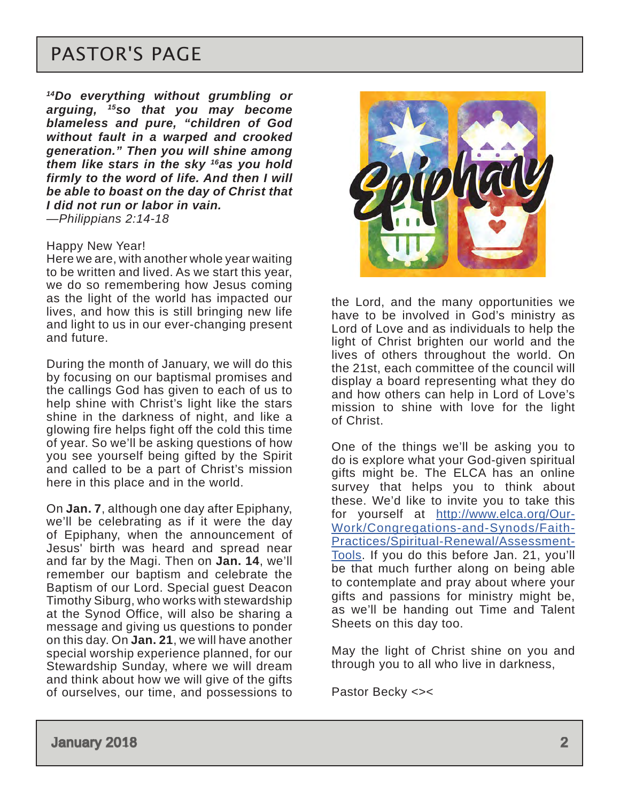# PASTOR'S PAGE

*14Do everything without grumbling or arguing, 15so that you may become blameless and pure, "children of God without fault in a warped and crooked generation." Then you will shine among them like stars in the sky 16as you hold firmly to the word of life. And then I will be able to boast on the day of Christ that I did not run or labor in vain. —Philippians 2:14-18*

#### Happy New Year!

Here we are, with another whole year waiting to be written and lived. As we start this year, we do so remembering how Jesus coming as the light of the world has impacted our lives, and how this is still bringing new life and light to us in our ever-changing present and future.

During the month of January, we will do this by focusing on our baptismal promises and the callings God has given to each of us to help shine with Christ's light like the stars shine in the darkness of night, and like a glowing fire helps fight off the cold this time of year. So we'll be asking questions of how you see yourself being gifted by the Spirit and called to be a part of Christ's mission here in this place and in the world.

On **Jan. 7**, although one day after Epiphany, we'll be celebrating as if it were the day of Epiphany, when the announcement of Jesus' birth was heard and spread near and far by the Magi. Then on **Jan. 14**, we'll remember our baptism and celebrate the Baptism of our Lord. Special guest Deacon Timothy Siburg, who works with stewardship at the Synod Office, will also be sharing a message and giving us questions to ponder on this day. On **Jan. 21**, we will have another special worship experience planned, for our Stewardship Sunday, where we will dream and think about how we will give of the gifts of ourselves, our time, and possessions to



the Lord, and the many opportunities we have to be involved in God's ministry as Lord of Love and as individuals to help the light of Christ brighten our world and the lives of others throughout the world. On the 21st, each committee of the council will display a board representing what they do and how others can help in Lord of Love's mission to shine with love for the light of Christ.

One of the things we'll be asking you to do is explore what your God-given spiritual gifts might be. The ELCA has an online survey that helps you to think about these. We'd like to invite you to take this for yourself at [http://www.elca.org/Our-](http://www.elca.org/Our-Work/Congregations-and-Synods/Faith-Practices/Spiritual-Renewal/Assessment-Tools)[Work/Congregations-and-Synods/Faith-](http://www.elca.org/Our-Work/Congregations-and-Synods/Faith-Practices/Spiritual-Renewal/Assessment-Tools)[Practices/Spiritual-Renewal/Assessment-](http://www.elca.org/Our-Work/Congregations-and-Synods/Faith-Practices/Spiritual-Renewal/Assessment-Tools)[Tools](http://www.elca.org/Our-Work/Congregations-and-Synods/Faith-Practices/Spiritual-Renewal/Assessment-Tools). If you do this before Jan. 21, you'll be that much further along on being able to contemplate and pray about where your gifts and passions for ministry might be, as we'll be handing out Time and Talent Sheets on this day too.

May the light of Christ shine on you and through you to all who live in darkness,

Pastor Becky <><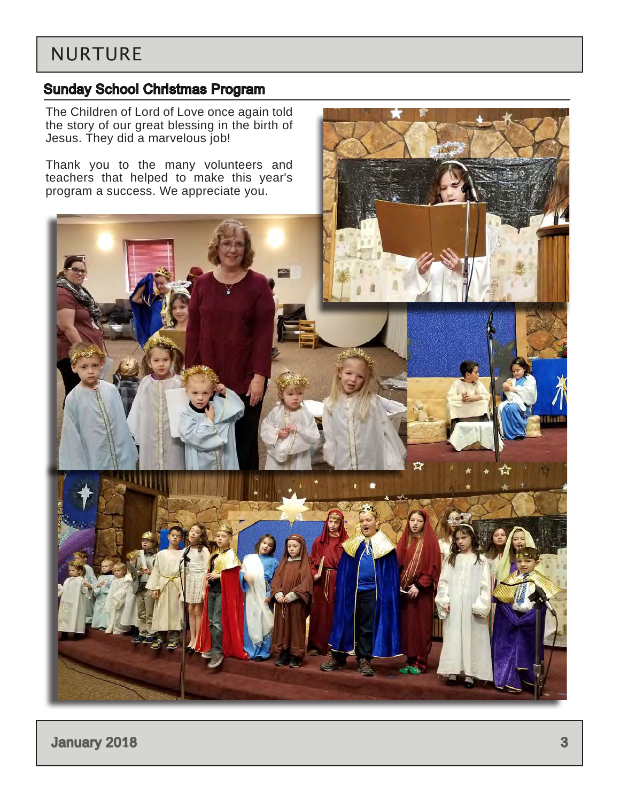### <span id="page-2-0"></span>NURTURE

### Sunday School Christmas Program

The Children of Lord of Love once again told the story of our great blessing in the birth of Jesus. They did a marvelous job!

Thank you to the many volunteers and teachers that helped to make this year's program a success. We appreciate you.



**January 2018** 3 **3**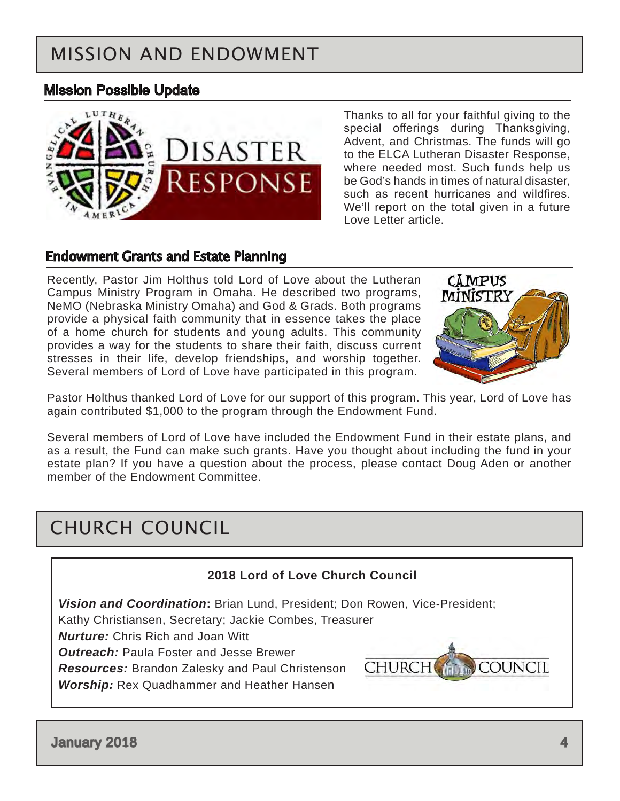# <span id="page-3-0"></span>MISSION AND ENDOWMENT

### Mission Possible Update



Thanks to all for your faithful giving to the special offerings during Thanksgiving, Advent, and Christmas. The funds will go to the ELCA Lutheran Disaster Response, where needed most. Such funds help us be God's hands in times of natural disaster, such as recent hurricanes and wildfires. We'll report on the total given in a future Love Letter article.

#### Endowment Grants and Estate Planning

Recently, Pastor Jim Holthus told Lord of Love about the Lutheran Campus Ministry Program in Omaha. He described two programs, NeMO (Nebraska Ministry Omaha) and God & Grads. Both programs provide a physical faith community that in essence takes the place of a home church for students and young adults. This community provides a way for the students to share their faith, discuss current stresses in their life, develop friendships, and worship together. Several members of Lord of Love have participated in this program.



Pastor Holthus thanked Lord of Love for our support of this program. This year, Lord of Love has again contributed \$1,000 to the program through the Endowment Fund.

Several members of Lord of Love have included the Endowment Fund in their estate plans, and as a result, the Fund can make such grants. Have you thought about including the fund in your estate plan? If you have a question about the process, please contact Doug Aden or another member of the Endowment Committee.

### CHURCH COUNCIL

#### **2018 Lord of Love Church Council**

*Vision and Coordination***:** Brian Lund, President; Don Rowen, Vice-President;

Kathy Christiansen, Secretary; Jackie Combes, Treasurer

*Nurture:* Chris Rich and Joan Witt

*Outreach:* Paula Foster and Jesse Brewer

*Resources:* Brandon Zalesky and Paul Christenson *Worship:* Rex Quadhammer and Heather Hansen



January 2018 4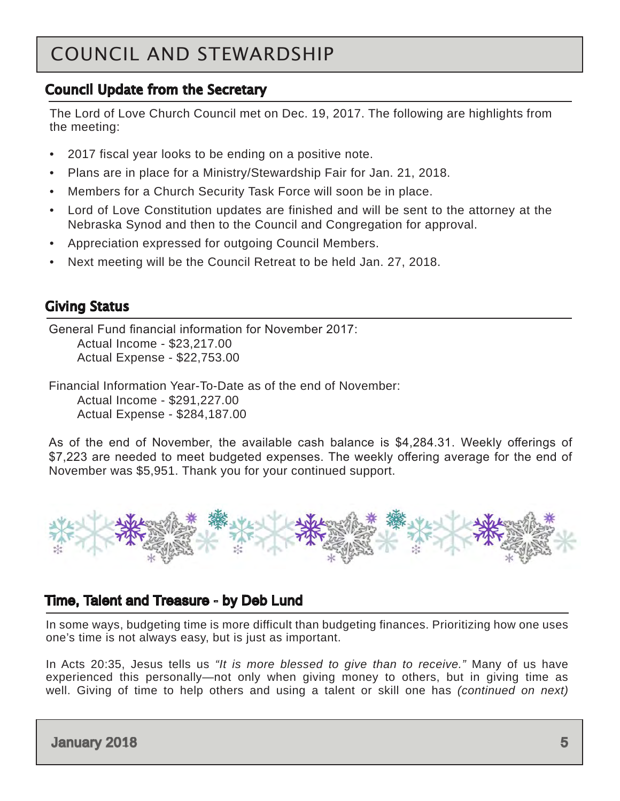# <span id="page-4-0"></span>COUNCIL AND STEWARDSHIP

### Council Update from the Secretary

The Lord of Love Church Council met on Dec. 19, 2017. The following are highlights from the meeting:

- 2017 fiscal year looks to be ending on a positive note.
- Plans are in place for a Ministry/Stewardship Fair for Jan. 21, 2018.
- Members for a Church Security Task Force will soon be in place.
- Lord of Love Constitution updates are finished and will be sent to the attorney at the Nebraska Synod and then to the Council and Congregation for approval.
- Appreciation expressed for outgoing Council Members.
- Next meeting will be the Council Retreat to be held Jan. 27, 2018.

### Giving Status

General Fund financial information for November 2017: Actual Income - \$23,217.00 Actual Expense - \$22,753.00

Financial Information Year-To-Date as of the end of November: Actual Income - \$291,227.00 Actual Expense - \$284,187.00

As of the end of November, the available cash balance is \$4,284.31. Weekly offerings of \$7,223 are needed to meet budgeted expenses. The weekly offering average for the end of November was \$5,951. Thank you for your continued support.



### Time, Talent and Treasure - by Deb Lund

In some ways, budgeting time is more difficult than budgeting finances. Prioritizing how one uses one's time is not always easy, but is just as important.

In Acts 20:35, Jesus tells us *"It is more blessed to give than to receive."* Many of us have experienced this personally—not only when giving money to others, but in giving time as well. Giving of time to help others and using a talent or skill one has *(continued on next)*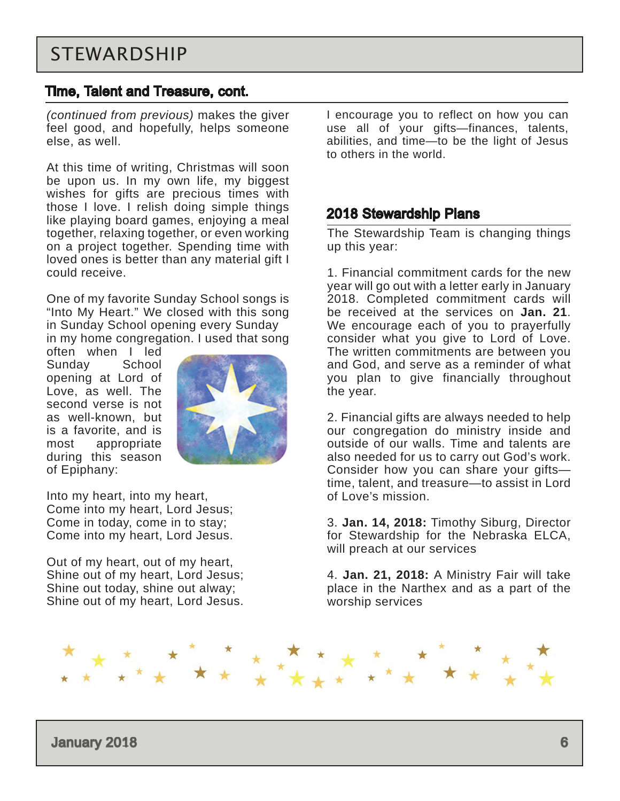#### <span id="page-5-0"></span>Time, Talent and Treasure, cont.

*(continued from previous)* makes the giver feel good, and hopefully, helps someone else, as well.

At this time of writing, Christmas will soon be upon us. In my own life, my biggest wishes for gifts are precious times with those I love. I relish doing simple things like playing board games, enjoying a meal together, relaxing together, or even working on a project together. Spending time with loved ones is better than any material gift I could receive.

One of my favorite Sunday School songs is "Into My Heart." We closed with this song in Sunday School opening every Sunday in my home congregation. I used that song

often when I led Sunday School opening at Lord of Love, as well. The second verse is not as well-known, but is a favorite, and is most appropriate during this season of Epiphany:



Into my heart, into my heart, Come into my heart, Lord Jesus; Come in today, come in to stay; Come into my heart, Lord Jesus.

Out of my heart, out of my heart, Shine out of my heart, Lord Jesus; Shine out today, shine out alway; Shine out of my heart, Lord Jesus. I encourage you to reflect on how you can use all of your gifts—finances, talents, abilities, and time—to be the light of Jesus to others in the world.

#### 2018 Stewardship Plans

The Stewardship Team is changing things up this year:

1. Financial commitment cards for the new year will go out with a letter early in January 2018. Completed commitment cards will be received at the services on **Jan. 21**. We encourage each of you to prayerfully consider what you give to Lord of Love. The written commitments are between you and God, and serve as a reminder of what you plan to give financially throughout the year.

2. Financial gifts are always needed to help our congregation do ministry inside and outside of our walls. Time and talents are also needed for us to carry out God's work. Consider how you can share your gifts time, talent, and treasure—to assist in Lord of Love's mission.

3. **Jan. 14, 2018:** Timothy Siburg, Director for Stewardship for the Nebraska ELCA, will preach at our services

4. **Jan. 21, 2018:** A Ministry Fair will take place in the Narthex and as a part of the worship services

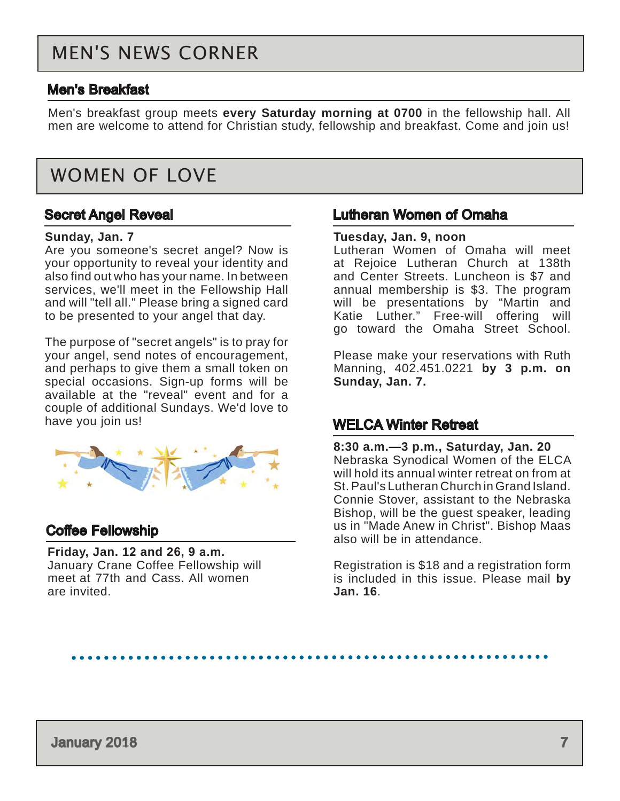### <span id="page-6-0"></span>MEN'S NEWS CORNER

#### Men's Breakfast

Men's breakfast group meets **every Saturday morning at 0700** in the fellowship hall. All men are welcome to attend for Christian study, fellowship and breakfast. Come and join us!

### WOMEN OF LOVE

#### Secret Angel Reveal

#### **Sunday, Jan. 7**

Are you someone's secret angel? Now is your opportunity to reveal your identity and also find out who has your name. In between services, we'll meet in the Fellowship Hall and will "tell all." Please bring a signed card to be presented to your angel that day.

The purpose of "secret angels" is to pray for your angel, send notes of encouragement, and perhaps to give them a small token on special occasions. Sign-up forms will be available at the "reveal" event and for a couple of additional Sundays. We'd love to have you join us!



#### Coffee Fellowship

**Friday, Jan. 12 and 26, 9 a.m.** January Crane Coffee Fellowship will meet at 77th and Cass. All women are invited.

#### Lutheran Women of Omaha

#### **Tuesday, Jan. 9, noon**

Lutheran Women of Omaha will meet at Rejoice Lutheran Church at 138th and Center Streets. Luncheon is \$7 and annual membership is \$3. The program will be presentations by "Martin and Katie Luther." Free-will offering will go toward the Omaha Street School.

Please make your reservations with Ruth Manning, 402.451.0221 **by 3 p.m. on Sunday, Jan. 7.**

#### WELCA Winter Retreat

**8:30 a.m.—3 p.m., Saturday, Jan. 20** Nebraska Synodical Women of the ELCA will hold its annual winter retreat on from at St. Paul's Lutheran Church in Grand Island. Connie Stover, assistant to the Nebraska Bishop, will be the guest speaker, leading us in "Made Anew in Christ". Bishop Maas also will be in attendance.

Registration is \$18 and a registration form is included in this issue. Please mail **by Jan. 16**.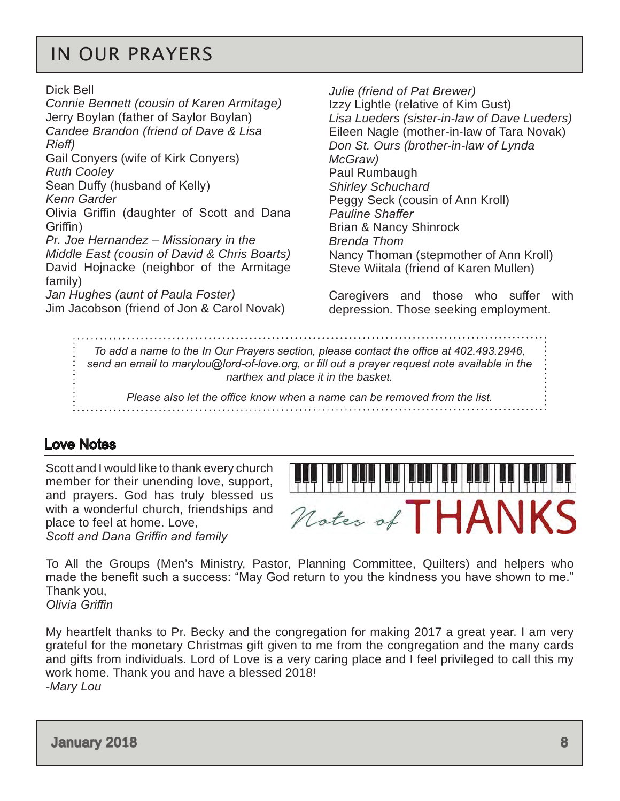### <span id="page-7-0"></span>IN OUR PRAYERS

Dick Bell

*Connie Bennett (cousin of Karen Armitage)* Jerry Boylan (father of Saylor Boylan) *Candee Brandon (friend of Dave & Lisa Rieff)* Gail Conyers (wife of Kirk Conyers) *Ruth Cooley* Sean Duffy (husband of Kelly) *Kenn Garder* Olivia Griffin (daughter of Scott and Dana Griffin) *Pr. Joe Hernandez – Missionary in the Middle East (cousin of David & Chris Boarts)* David Hojnacke (neighbor of the Armitage family) *Jan Hughes (aunt of Paula Foster)* Jim Jacobson (friend of Jon & Carol Novak)

*Julie (friend of Pat Brewer)* Izzy Lightle (relative of Kim Gust) *Lisa Lueders (sister-in-law of Dave Lueders)* Eileen Nagle (mother-in-law of Tara Novak) *Don St. Ours (brother-in-law of Lynda McGraw)* Paul Rumbaugh *Shirley Schuchard* Peggy Seck (cousin of Ann Kroll) *Pauline Shaffer* Brian & Nancy Shinrock *Brenda Thom* Nancy Thoman (stepmother of Ann Kroll) Steve Wiitala (friend of Karen Mullen)

Caregivers and those who suffer with depression. Those seeking employment.

*To add a name to the In Our Prayers section, please contact the office at 402.493.2946, send an email to marylou@lord-of-love.org, or fill out a prayer request note available in the narthex and place it in the basket.* 

*Please also let the office know when a name can be removed from the list.*

### Love Notes

Scott and I would like to thank every church member for their unending love, support, and prayers. God has truly blessed us with a wonderful church, friendships and place to feel at home. Love, *Scott and Dana Griffin and family*



To All the Groups (Men's Ministry, Pastor, Planning Committee, Quilters) and helpers who made the benefit such a success: "May God return to you the kindness you have shown to me." Thank you, *Olivia Griffin*

My heartfelt thanks to Pr. Becky and the congregation for making 2017 a great year. I am very grateful for the monetary Christmas gift given to me from the congregation and the many cards and gifts from individuals. Lord of Love is a very caring place and I feel privileged to call this my work home. Thank you and have a blessed 2018! *-Mary Lou*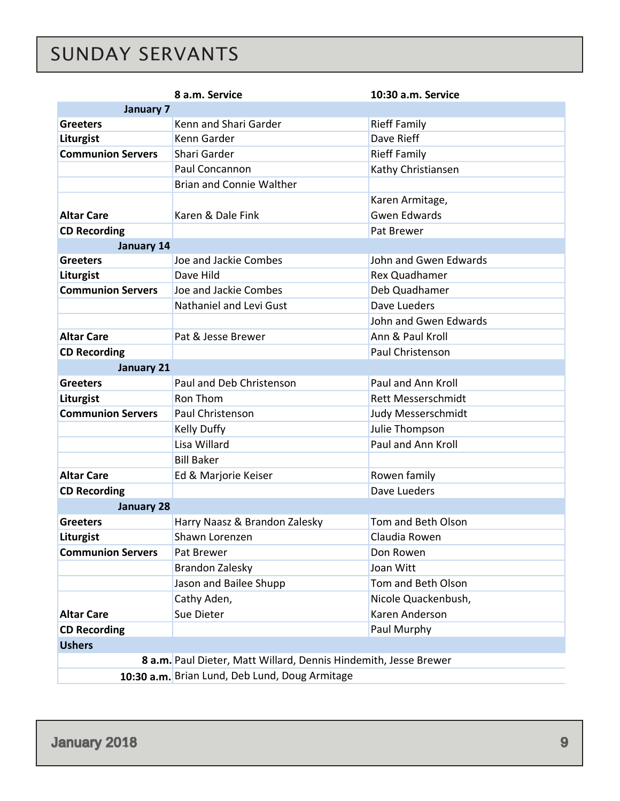# <span id="page-8-0"></span>SUNDAY SERVANTS

|                          | 8 a.m. Service                                                   | 10:30 a.m. Service        |
|--------------------------|------------------------------------------------------------------|---------------------------|
| <b>January 7</b>         |                                                                  |                           |
| <b>Greeters</b>          | Kenn and Shari Garder                                            | <b>Rieff Family</b>       |
| Liturgist                | Kenn Garder                                                      | Dave Rieff                |
| <b>Communion Servers</b> | Shari Garder                                                     | <b>Rieff Family</b>       |
|                          | Paul Concannon                                                   | Kathy Christiansen        |
|                          | <b>Brian and Connie Walther</b>                                  |                           |
|                          |                                                                  | Karen Armitage,           |
| <b>Altar Care</b>        | Karen & Dale Fink                                                | <b>Gwen Edwards</b>       |
| <b>CD Recording</b>      |                                                                  | Pat Brewer                |
| January 14               |                                                                  |                           |
| <b>Greeters</b>          | Joe and Jackie Combes                                            | John and Gwen Edwards     |
| Liturgist                | Dave Hild                                                        | Rex Quadhamer             |
| <b>Communion Servers</b> | Joe and Jackie Combes                                            | Deb Quadhamer             |
|                          | Nathaniel and Levi Gust                                          | Dave Lueders              |
|                          |                                                                  | John and Gwen Edwards     |
| <b>Altar Care</b>        | Pat & Jesse Brewer                                               | Ann & Paul Kroll          |
| <b>CD Recording</b>      |                                                                  | Paul Christenson          |
| <b>January 21</b>        |                                                                  |                           |
| <b>Greeters</b>          | Paul and Deb Christenson                                         | Paul and Ann Kroll        |
| Liturgist                | Ron Thom                                                         | <b>Rett Messerschmidt</b> |
| <b>Communion Servers</b> | Paul Christenson                                                 | Judy Messerschmidt        |
|                          | Kelly Duffy                                                      | Julie Thompson            |
|                          | Lisa Willard                                                     | Paul and Ann Kroll        |
|                          | <b>Bill Baker</b>                                                |                           |
| <b>Altar Care</b>        | Ed & Marjorie Keiser                                             | Rowen family              |
| <b>CD Recording</b>      |                                                                  | Dave Lueders              |
| <b>January 28</b>        |                                                                  |                           |
| <b>Greeters</b>          | Harry Naasz & Brandon Zalesky                                    | Tom and Beth Olson        |
| Liturgist                | Shawn Lorenzen                                                   | Claudia Rowen             |
| <b>Communion Servers</b> | Pat Brewer                                                       | Don Rowen                 |
|                          | <b>Brandon Zalesky</b>                                           | Joan Witt                 |
|                          | Jason and Bailee Shupp                                           | Tom and Beth Olson        |
|                          | Cathy Aden,                                                      | Nicole Quackenbush,       |
| <b>Altar Care</b>        | Sue Dieter                                                       | Karen Anderson            |
| <b>CD Recording</b>      |                                                                  | Paul Murphy               |
| <b>Ushers</b>            |                                                                  |                           |
|                          | 8 a.m. Paul Dieter, Matt Willard, Dennis Hindemith, Jesse Brewer |                           |
|                          | 10:30 a.m. Brian Lund, Deb Lund, Doug Armitage                   |                           |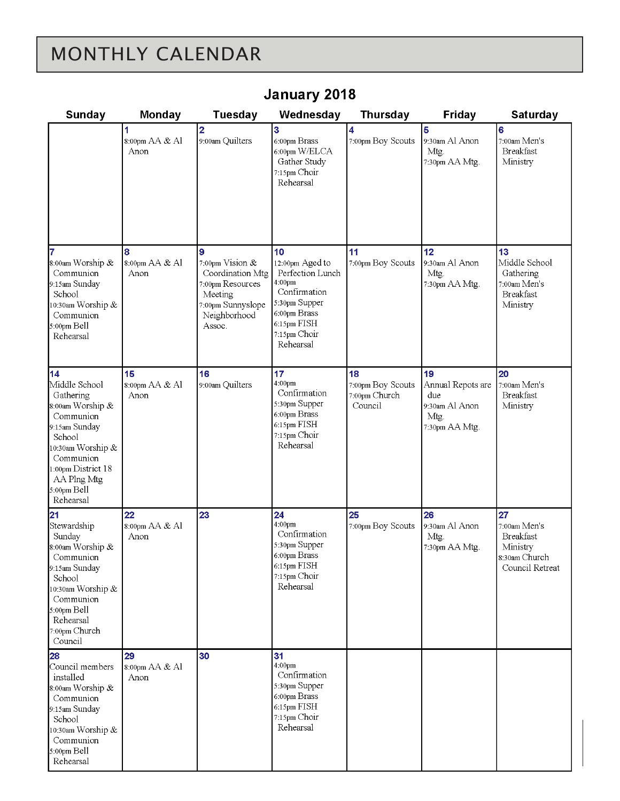# <span id="page-9-0"></span>MONTHLY CALENDAR

| Sunday                                                                                                                                                                                          | Monday                                   | Tuesday                                                                                                                | Wednesday                                                                                                                                        | <b>Thursday</b>                                     | <b>Friday</b>                                                              | <b>Saturday</b>                                                                        |
|-------------------------------------------------------------------------------------------------------------------------------------------------------------------------------------------------|------------------------------------------|------------------------------------------------------------------------------------------------------------------------|--------------------------------------------------------------------------------------------------------------------------------------------------|-----------------------------------------------------|----------------------------------------------------------------------------|----------------------------------------------------------------------------------------|
|                                                                                                                                                                                                 | 1<br>8:00pm AA & Al<br>Anon              | $\overline{\mathbf{2}}$<br>9:00am Quilters                                                                             | $\overline{3}$<br>6:00pm Brass<br>6:00pm W/ELCA<br>Gather Study<br>7:15pm Choir<br>Rehearsal                                                     | 4<br>7:00pm Boy Scouts                              | 5<br>9:30am Al Anon<br>Mtg.<br>7:30pm AA Mtg.                              | 6<br>7:00am Men's<br><b>Breakfast</b><br>Ministry                                      |
| 7<br>8:00am Worship &<br>Communion<br>9:15am Sunday<br>School<br>10:30am Worship &<br>Communion<br>5:00pm Bell<br>Rehearsal                                                                     | 8<br>8:00pm AA & Al<br>Anon              | 9<br>7:00pm Vision &<br>Coordination Mtg<br>7:00pm Resources<br>Meeting<br>7:00pm Sunnyslope<br>Neighborhood<br>Assoc. | 10<br>12:00pm Aged to<br>Perfection Lunch<br>4:00pm<br>Confirmation<br>5:30pm Supper<br>6:00pm Brass<br>6:15pm FISH<br>7:15pm Choir<br>Rehearsal | 11<br>7:00pm Boy Scouts                             | 12<br>9:30am Al Anon<br>Mtg.<br>7:30pm AA Mtg.                             | 13<br>Middle School<br>Gathering<br>7:00am Men's<br><b>Breakfast</b><br>Ministry       |
| 14<br>Middle School<br>Gathering<br>8:00am Worship &<br>Communion<br>9:15am Sunday<br>School<br>10:30am Worship &<br>Communion<br>1:00pm District 18<br>AA Plng Mtg<br>5:00pm Bell<br>Rehearsal | 15<br>$8:00 \mathrm{pm}$ AA & Al<br>Anon | 16<br>9:00am Quilters                                                                                                  | 17<br>4:00pm<br>Confirmation<br>5:30pm Supper<br>6:00pm Brass<br>6:15pm FISH<br>7:15pm Choir<br>Rehearsal                                        | 18<br>7:00pm Boy Scouts<br>7:00pm Church<br>Council | 19<br>Annual Repots are<br>due<br>9:30am Al Anon<br>Mtg.<br>7:30pm AA Mtg. | 20<br>7:00am Men's<br><b>Breakfast</b><br>Ministry                                     |
| 21<br>Stewardship<br>Sunday<br>8:00am Worship &<br>Communion<br>9:15am Sunday<br>School<br>10:30am Worship &<br>Communion<br>5:00pm Bell<br>Rehearsal<br>7:00pm Church<br>Council               | 22<br>8:00pm AA & Al<br>Anon             | 23                                                                                                                     | 24<br>4:00pm<br>Confirmation<br>5:30pm Supper<br>6:00pm Brass<br>6:15pm FISH<br>7:15pm Choir<br>Rehearsal                                        | 25<br>7:00pm Boy Scouts                             | 26<br>9:30am Al Anon<br>Mtg.<br>7:30pm AA Mtg.                             | 27<br>7:00am Men's<br><b>Breakfast</b><br>Ministry<br>8:30am Church<br>Council Retreat |
| 28<br>Council members<br>installed<br>8:00am Worship &<br>Communion<br>9:15am Sunday<br>School<br>10:30am Worship &<br>Communion<br>5:00pm Bell<br>Rehearsal                                    | 29<br>8:00pm AA & Al<br>Anon             | 30                                                                                                                     | 31<br>4:00pm<br>Confirmation<br>5:30pm Supper<br>6:00pm Brass<br>6:15pm FISH<br>7:15pm Choir<br>Rehearsal                                        |                                                     |                                                                            |                                                                                        |

### January 2018